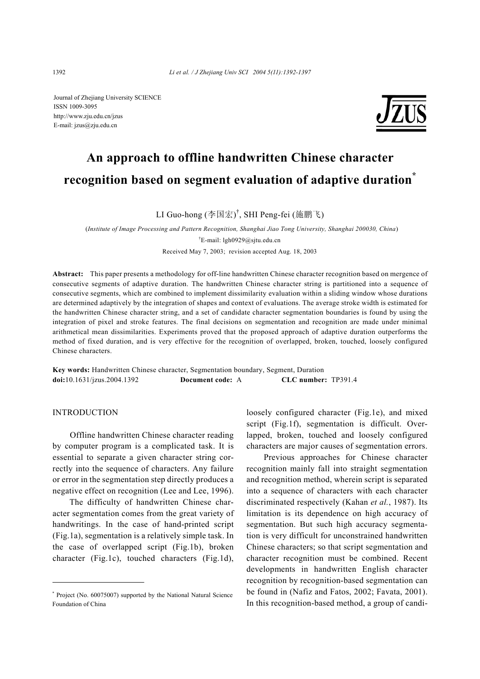Journal of Zhejiang University SCIENCE ISSN 1009-3095 http://www.zju.edu.cn/jzus E-mail: jzus@zju.edu.cn



# **An approach to offline handwritten Chinese character recognition based on segment evaluation of adaptive duration\***

LI Guo-hong (李国宏) † , SHI Peng-fei (施鹏飞)

(*Institute of Image Processing and Pattern Recognition, Shanghai Jiao Tong University, Shanghai 200030, China*) † E-mail: lgh0929@sjtu.edu.cn Received May 7, 2003; revision accepted Aug. 18, 2003

**Abstract:** This paper presents a methodology for off-line handwritten Chinese character recognition based on mergence of consecutive segments of adaptive duration. The handwritten Chinese character string is partitioned into a sequence of consecutive segments, which are combined to implement dissimilarity evaluation within a sliding window whose durations are determined adaptively by the integration of shapes and context of evaluations. The average stroke width is estimated for the handwritten Chinese character string, and a set of candidate character segmentation boundaries is found by using the integration of pixel and stroke features. The final decisions on segmentation and recognition are made under minimal arithmetical mean dissimilarities. Experiments proved that the proposed approach of adaptive duration outperforms the method of fixed duration, and is very effective for the recognition of overlapped, broken, touched, loosely configured Chinese characters.

**Key words:** Handwritten Chinese character, Segmentation boundary, Segment, Duration **doi:**10.1631/jzus.2004.1392 **Document code:** A **CLC number:** TP391.4

# **INTRODUCTION**

Offline handwritten Chinese character reading by computer program is a complicated task. It is essential to separate a given character string correctly into the sequence of characters. Any failure or error in the segmentation step directly produces a negative effect on recognition (Lee and Lee, 1996).

The difficulty of handwritten Chinese character segmentation comes from the great variety of handwritings. In the case of hand-printed script (Fig.1a), segmentation is a relatively simple task. In the case of overlapped script (Fig.1b), broken character (Fig.1c), touched characters (Fig.1d),

loosely configured character (Fig.1e), and mixed script (Fig.1f), segmentation is difficult. Overlapped, broken, touched and loosely configured characters are major causes of segmentation errors.

Previous approaches for Chinese character recognition mainly fall into straight segmentation and recognition method, wherein script is separated into a sequence of characters with each character discriminated respectively (Kahan *et al.*, 1987). Its limitation is its dependence on high accuracy of segmentation. But such high accuracy segmentation is very difficult for unconstrained handwritten Chinese characters; so that script segmentation and character recognition must be combined. Recent developments in handwritten English character recognition by recognition-based segmentation can be found in (Nafiz and Fatos, 2002; Favata, 2001). In this recognition-based method, a group of candi-

<sup>\*</sup> Project (No. 60075007) supported by the National Natural Science Foundation of China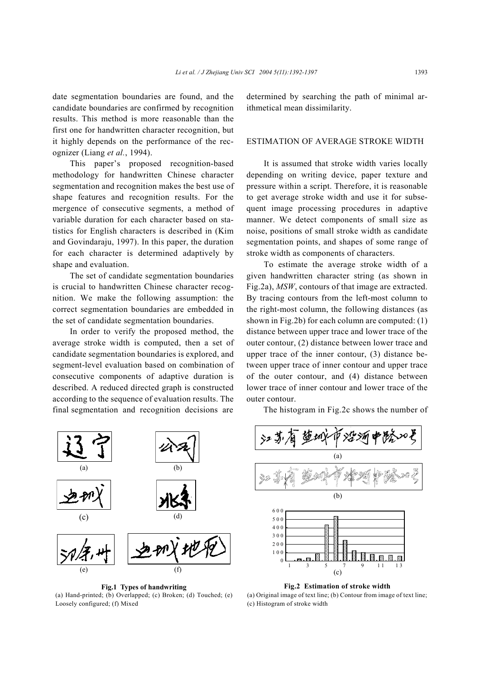date segmentation boundaries are found, and the candidate boundaries are confirmed by recognition results. This method is more reasonable than the first one for handwritten character recognition, but it highly depends on the performance of the recognizer (Liang *et al.*, 1994).

This paper's proposed recognition-based methodology for handwritten Chinese character segmentation and recognition makes the best use of shape features and recognition results. For the mergence of consecutive segments, a method of variable duration for each character based on statistics for English characters is described in (Kim and Govindaraju, 1997). In this paper, the duration for each character is determined adaptively by shape and evaluation.

The set of candidate segmentation boundaries is crucial to handwritten Chinese character recognition. We make the following assumption: the correct segmentation boundaries are embedded in the set of candidate segmentation boundaries.

In order to verify the proposed method, the average stroke width is computed, then a set of candidate segmentation boundaries is explored, and segment-level evaluation based on combination of consecutive components of adaptive duration is described. A reduced directed graph is constructed according to the sequence of evaluation results. The final segmentation and recognition decisions are

determined by searching the path of minimal arithmetical mean dissimilarity.

#### ESTIMATION OF AVERAGE STROKE WIDTH

It is assumed that stroke width varies locally depending on writing device, paper texture and pressure within a script. Therefore, it is reasonable to get average stroke width and use it for subsequent image processing procedures in adaptive manner. We detect components of small size as noise, positions of small stroke width as candidate segmentation points, and shapes of some range of stroke width as components of characters.

To estimate the average stroke width of a given handwritten character string (as shown in Fig.2a), *MSW*, contours of that image are extracted. By tracing contours from the left-most column to the right-most column, the following distances (as shown in Fig.2b) for each column are computed: (1) distance between upper trace and lower trace of the outer contour, (2) distance between lower trace and upper trace of the inner contour, (3) distance between upper trace of inner contour and upper trace of the outer contour, and (4) distance between lower trace of inner contour and lower trace of the outer contour.

The histogram in Fig.2c shows the number of



**Fig.1 Types of handwriting** (a) Hand-printed; (b) Overlapped; (c) Broken; (d) Touched; (e) Loosely configured; (f) Mixed



**Fig.2 Estimation of stroke width**  (a) Original image of text line; (b) Contour from image of text line; (c) Histogram of stroke width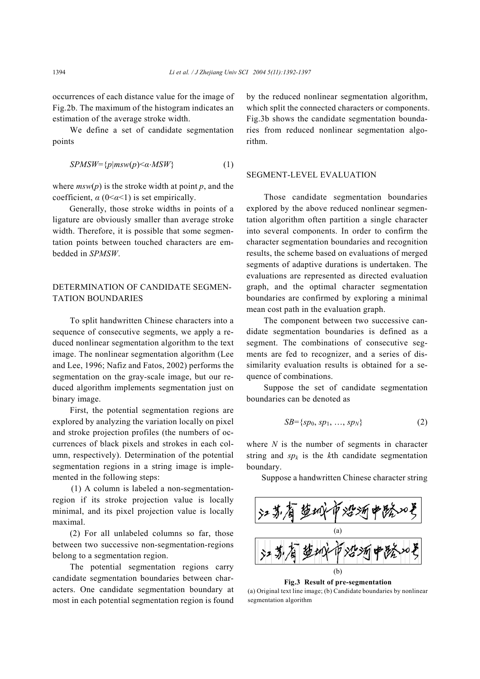occurrences of each distance value for the image of Fig.2b. The maximum of the histogram indicates an estimation of the average stroke width.

We define a set of candidate segmentation points

$$
SPMSW = \{p | msw(p) < \alpha \cdot MSW\} \tag{1}
$$

where  $msw(p)$  is the stroke width at point  $p$ , and the coefficient, *α* (0<*α*<1) is set empirically.

Generally, those stroke widths in points of a ligature are obviously smaller than average stroke width. Therefore, it is possible that some segmentation points between touched characters are embedded in *SPMSW*.

# DETERMINATION OF CANDIDATE SEGMEN-TATION BOUNDARIES

To split handwritten Chinese characters into a sequence of consecutive segments, we apply a reduced nonlinear segmentation algorithm to the text image. The nonlinear segmentation algorithm (Lee and Lee, 1996; Nafiz and Fatos, 2002) performs the segmentation on the gray-scale image, but our reduced algorithm implements segmentation just on binary image.

First, the potential segmentation regions are explored by analyzing the variation locally on pixel and stroke projection profiles (the numbers of occurrences of black pixels and strokes in each column, respectively). Determination of the potential segmentation regions in a string image is implemented in the following steps:

(1) A column is labeled a non-segmentationregion if its stroke projection value is locally minimal, and its pixel projection value is locally maximal.

(2) For all unlabeled columns so far, those between two successive non-segmentation-regions belong to a segmentation region.

The potential segmentation regions carry candidate segmentation boundaries between characters. One candidate segmentation boundary at most in each potential segmentation region is found by the reduced nonlinear segmentation algorithm, which split the connected characters or components. Fig.3b shows the candidate segmentation boundaries from reduced nonlinear segmentation algorithm.

### SEGMENT-LEVEL EVALUATION

Those candidate segmentation boundaries explored by the above reduced nonlinear segmentation algorithm often partition a single character into several components. In order to confirm the character segmentation boundaries and recognition results, the scheme based on evaluations of merged segments of adaptive durations is undertaken. The evaluations are represented as directed evaluation graph, and the optimal character segmentation boundaries are confirmed by exploring a minimal mean cost path in the evaluation graph.

The component between two successive candidate segmentation boundaries is defined as a segment. The combinations of consecutive segments are fed to recognizer, and a series of dissimilarity evaluation results is obtained for a sequence of combinations.

Suppose the set of candidate segmentation boundaries can be denoted as

$$
SB = \{sp_0, sp_1, \ldots, sp_N\} \tag{2}
$$

where *N* is the number of segments in character string and  $sp_k$  is the *k*th candidate segmentation boundary.

Suppose a handwritten Chinese character string



**Fig.3 Result of pre-segmentation** 

(a) Original text line image; (b) Candidate boundaries by nonlinear segmentation algorithm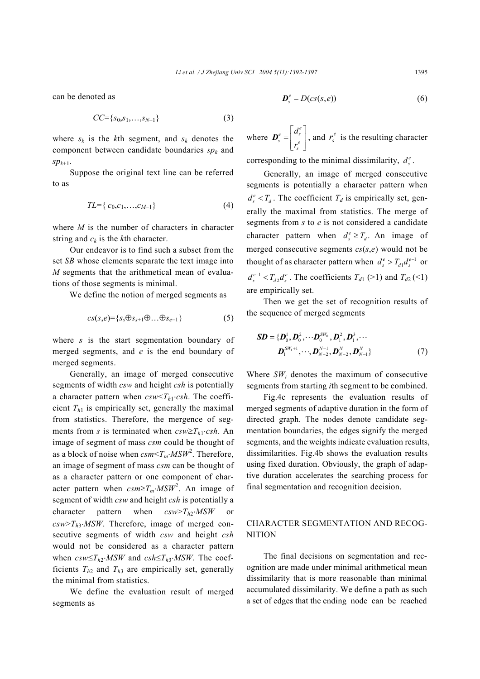can be denoted as

$$
CC = \{s_0, s_1, \ldots, s_{N-1}\}\tag{3}
$$

where  $s_k$  is the *k*th segment, and  $s_k$  denotes the component between candidate boundaries  $sp_k$  and *spk*+1.

Suppose the original text line can be referred to as

$$
TL = \{c_0, c_1, \ldots, c_{M-1}\}\tag{4}
$$

where *M* is the number of characters in character string and  $c_k$  is the *k*th character.

Our endeavor is to find such a subset from the set *SB* whose elements separate the text image into *M* segments that the arithmetical mean of evaluations of those segments is minimal.

We define the notion of merged segments as

$$
cs(s,e)=\{s_s \oplus s_{s+1} \oplus \ldots \oplus s_{e-1}\}\tag{5}
$$

where *s* is the start segmentation boundary of merged segments, and *e* is the end boundary of merged segments.

Generally, an image of merged consecutive segments of width *csw* and height *csh* is potentially a character pattern when *csw*<*Th*1⋅*csh*. The coefficient  $T_{h1}$  is empirically set, generally the maximal from statistics. Therefore, the mergence of segments from *s* is terminated when  $csw\geq T_{h1} \cdot csh$ . An image of segment of mass *csm* could be thought of as a block of noise when *csm*<*Tm*⋅*MSW*<sup>2</sup> . Therefore, an image of segment of mass *csm* can be thought of as a character pattern or one component of character pattern when *csm*≥*Tm*⋅*MSW*<sup>2</sup> . An image of segment of width *csw* and height *csh* is potentially a character pattern when *csw*>*Th*2⋅*MSW* or *csw*>*Th*3⋅*MSW*. Therefore, image of merged consecutive segments of width *csw* and height *csh* would not be considered as a character pattern when  $csw \leq T_{h2} \cdot MSW$  and  $csh \leq T_{h3} \cdot MSW$ . The coefficients  $T_{h2}$  and  $T_{h3}$  are empirically set, generally the minimal from statistics.

We define the evaluation result of merged segments as

$$
\boldsymbol{D}_{s}^{e} = D(c s(s, e)) \tag{6}
$$

where  $e = d_s^e$  $\left[\frac{s}{r_s}\right]$ *d*  $\boldsymbol{D}_s^e = \begin{bmatrix} d_s^e \\ r_s^e \end{bmatrix}$ , and  $r_s^e$  is the resulting character

corresponding to the minimal dissimilarity,  $d_s^e$ .

Generally, an image of merged consecutive segments is potentially a character pattern when  $d_s^e$  <  $T_d$ . The coefficient  $T_d$  is empirically set, generally the maximal from statistics. The merge of segments from *s* to *e* is not considered a candidate character pattern when  $d_s^e \geq T_d$ . An image of merged consecutive segments *cs*(*s*,*e*) would not be thought of as character pattern when  $d_s^e > T_{d1} d_s^{e-1}$  or  $d_s^{e+1} < T_{d2} d_s^e$ . The coefficients  $T_{d1}$  (>1) and  $T_{d2}$  (<1) are empirically set.

Then we get the set of recognition results of the sequence of merged segments

$$
\mathbf{SD} = {\{\mathbf{D}_0^1, \mathbf{D}_0^2, \cdots \mathbf{D}_0^{SW_0}, \mathbf{D}_1^2, \mathbf{D}_1^3, \cdots \atop \mathbf{D}_1^{SW_1+1}, \cdots, \mathbf{D}_{N-2}^{N-1}, \mathbf{D}_{N-2}^{N}, \mathbf{D}_{N-1}^{N}}\}
$$
(7)

Where  $SW_i$  denotes the maximum of consecutive segments from starting *i*th segment to be combined.

Fig.4c represents the evaluation results of merged segments of adaptive duration in the form of directed graph. The nodes denote candidate segmentation boundaries, the edges signify the merged segments, and the weights indicate evaluation results, dissimilarities. Fig.4b shows the evaluation results using fixed duration. Obviously, the graph of adaptive duration accelerates the searching process for final segmentation and recognition decision.

## CHARACTER SEGMENTATION AND RECOG-**NITION**

The final decisions on segmentation and recognition are made under minimal arithmetical mean dissimilarity that is more reasonable than minimal accumulated dissimilarity. We define a path as such a set of edges that the ending node can be reached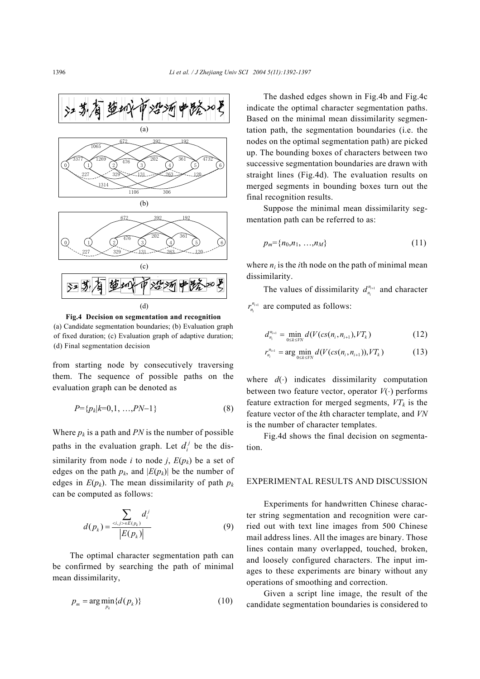

**Fig.4 Decision on segmentation and recognition**  (a) Candidate segmentation boundaries; (b) Evaluation graph of fixed duration; (c) Evaluation graph of adaptive duration; (d) Final segmentation decision

from starting node by consecutively traversing them. The sequence of possible paths on the evaluation graph can be denoted as

$$
P = \{p_k | k=0,1,\dots, PN-1\} \tag{8}
$$

Where  $p_k$  is a path and *PN* is the number of possible paths in the evaluation graph. Let  $d_i^j$  be the dissimilarity from node *i* to node *j*,  $E(p_k)$  be a set of edges on the path  $p_k$ , and  $|E(p_k)|$  be the number of edges in  $E(p_k)$ . The mean dissimilarity of path  $p_k$ can be computed as follows:

$$
d(p_k) = \frac{\sum_{(i,j) \in E(p_k)} d_i^j}{|E(p_k)|} \tag{9}
$$

The optimal character segmentation path can be confirmed by searching the path of minimal mean dissimilarity,

$$
p_m = \arg\min_{p_k} \{d(p_k)\}\tag{10}
$$

The dashed edges shown in Fig.4b and Fig.4c indicate the optimal character segmentation paths. Based on the minimal mean dissimilarity segmentation path, the segmentation boundaries (i.e. the nodes on the optimal segmentation path) are picked up. The bounding boxes of characters between two successive segmentation boundaries are drawn with straight lines (Fig.4d). The evaluation results on merged segments in bounding boxes turn out the final recognition results.

Suppose the minimal mean dissimilarity segmentation path can be referred to as:

$$
p_m = \{n_0, n_1, \ldots, n_M\} \tag{11}
$$

where  $n_i$  is the *i*th node on the path of minimal mean dissimilarity.

The values of dissimilarity  $d_{n_i}^{n_{i+1}}$  $d_{n_i}^{n_{i+1}}$  and character  $\frac{a_{i+1}}{i}$  $r_{n_i}^{n_{i+1}}$  are computed as follows:

$$
d_{n_i}^{n_{i+1}} = \min_{0 \le k \le VN} d(V(c s(n_i, n_{i+1}), VT_k)
$$
 (12)

$$
r_{n_i}^{n_{i+1}} = \arg\min_{0 \le k \le VN} d(V(cs(n_i, n_{i+1})), VT_k)
$$
 (13)

where *d*(⋅) indicates dissimilarity computation between two feature vector, operator *V*(⋅) performs feature extraction for merged segments,  $VT_k$  is the feature vector of the *k*th character template, and *VN* is the number of character templates.

Fig.4d shows the final decision on segmentation.

#### EXPERIMENTAL RESULTS AND DISCUSSION

Experiments for handwritten Chinese character string segmentation and recognition were carried out with text line images from 500 Chinese mail address lines. All the images are binary. Those lines contain many overlapped, touched, broken, and loosely configured characters. The input images to these experiments are binary without any operations of smoothing and correction.

Given a script line image, the result of the candidate segmentation boundaries is considered to